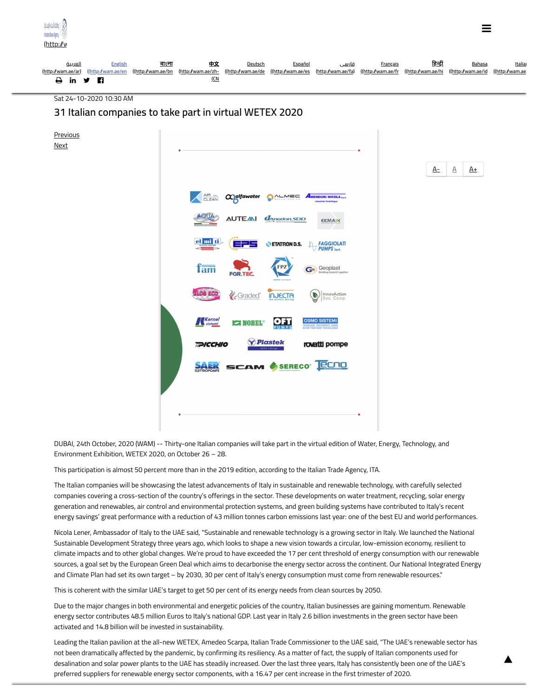

Sat 24-10-2020 10:30 AM

## **31 Italian companies to take part in virtual WETEX 2020**



DUBAI, 24th October, 2020 (WAM) -- Thirty-one Italian companies will take part in the virtual edition of Water, Energy, Technology, and Environment Exhibition, WETEX 2020, on October 26 – 28.

This participation is almost 50 percent more than in the 2019 edition, according to the Italian Trade Agency, ITA.

The Italian companies will be showcasing the latest advancements of Italy in sustainable and renewable technology, with carefully selected companies covering a cross-section of the country's offerings in the sector. These developments on water treatment, recycling, solar energy generation and renewables, air control and environmental protection systems, and green building systems have contributed to Italy's recent energy savings' great performance with a reduction of 43 million tonnes carbon emissions last year: one of the best EU and world performances.

Nicola Lener, Ambassador of Italy to the UAE said, "Sustainable and renewable technology is a growing sector in Italy. We launched the National Sustainable Development Strategy three years ago, which looks to shape a new vision towards a circular, low-emission economy, resilient to climate impacts and to other global changes. We're proud to have exceeded the 17 per cent threshold of energy consumption with our renewable sources, a goal set by the European Green Deal which aims to decarbonise the energy sector across the continent. Our National Integrated Energy and Climate Plan had set its own target – by 2030, 30 per cent of Italy's energy consumption must come from renewable resources."

This is coherent with the similar UAE's target to get 50 per cent of its energy needs from clean sources by 2050.

Due to the major changes in both environmental and energetic policies of the country, Italian businesses are gaining momentum. Renewable energy sector contributes 48.5 million Euros to Italy's national GDP. Last year in Italy 2.6 billion investments in the green sector have been activated and 14.8 billion will be invested in sustainability.

Leading the Italian pavilion at the all-new WETEX, Amedeo Scarpa, Italian Trade Commissioner to the UAE said, "The UAE's renewable sector has not been dramatically affected by the pandemic, by confirming its resiliency. As a matter of fact, the supply of Italian components used for desalination and solar power plants to the UAE has steadily increased. Over the last three years, Italy has consistently been one of the UAE's preferred suppliers for renewable energy sector components, with a 16.47 per cent increase in the first trimester of 2020.

[▴](javascript:)

=